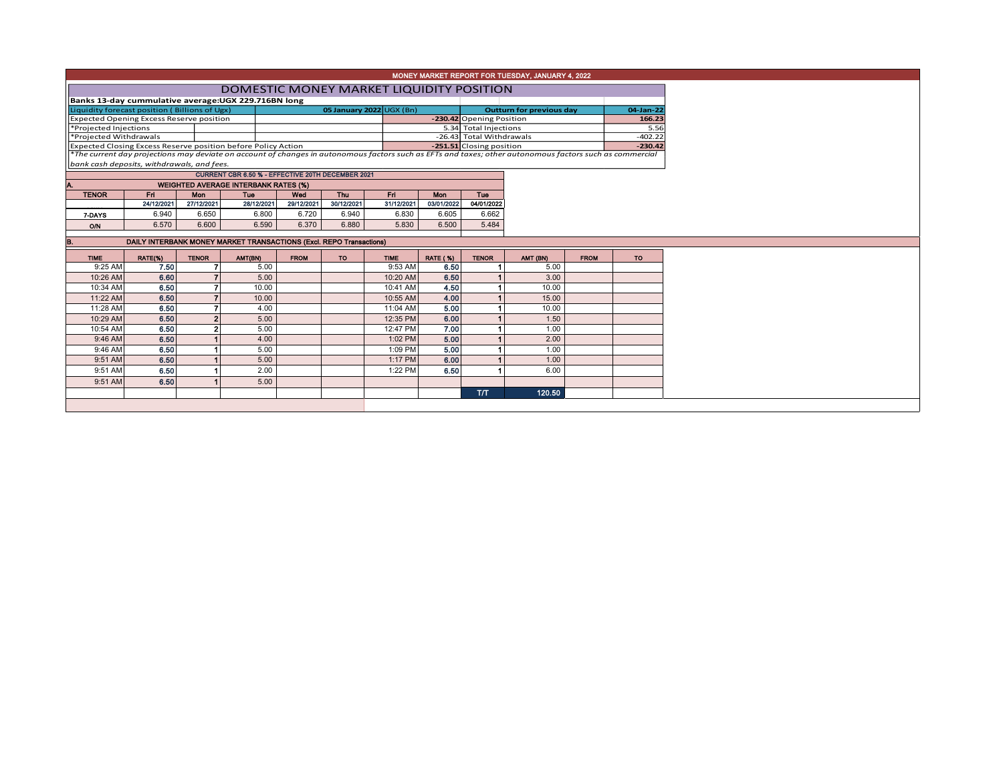| MONEY MARKET REPORT FOR TUESDAY, JANUARY 4, 2022 |
|--------------------------------------------------|
|--------------------------------------------------|

a ka

## DOMESTIC MONEY MARKET LIQUIDITY POSITION

| Liquidity forecast position (Billions of Ugx)   |            |              |                                                                      |             |                          | 05 January 2022 UGX (Bn) | <b>Outturn for previous day</b> | 04-Jan-22                |                                                                                                                                                          |             |           |  |  |  |  |
|-------------------------------------------------|------------|--------------|----------------------------------------------------------------------|-------------|--------------------------|--------------------------|---------------------------------|--------------------------|----------------------------------------------------------------------------------------------------------------------------------------------------------|-------------|-----------|--|--|--|--|
| <b>Expected Opening Excess Reserve position</b> |            |              |                                                                      |             |                          |                          | -230.42 Opening Position        |                          |                                                                                                                                                          | 166.23      |           |  |  |  |  |
| *Projected Injections                           |            |              |                                                                      |             |                          |                          |                                 | 5.34 Total Injections    |                                                                                                                                                          |             | 5.56      |  |  |  |  |
| *Projected Withdrawals                          |            |              |                                                                      |             |                          |                          |                                 | -26.43 Total Withdrawals |                                                                                                                                                          |             | $-402.22$ |  |  |  |  |
|                                                 |            |              | <b>Expected Closing Excess Reserve position before Policy Action</b> |             | -251.51 Closing position |                          |                                 | $-230.42$                |                                                                                                                                                          |             |           |  |  |  |  |
|                                                 |            |              |                                                                      |             |                          |                          |                                 |                          | *The current day projections may deviate on account of changes in autonomous factors such as EFTs and taxes; other autonomous factors such as commercial |             |           |  |  |  |  |
| bank cash deposits, withdrawals, and fees.      |            |              |                                                                      |             |                          |                          |                                 |                          |                                                                                                                                                          |             |           |  |  |  |  |
|                                                 |            |              | CURRENT CBR 6.50 % - EFFECTIVE 20TH DECEMBER 2021                    |             |                          |                          |                                 |                          |                                                                                                                                                          |             |           |  |  |  |  |
| Α.                                              |            |              | <b>WEIGHTED AVERAGE INTERBANK RATES (%)</b>                          |             |                          |                          |                                 |                          |                                                                                                                                                          |             |           |  |  |  |  |
| <b>TENOR</b>                                    | Fri        | <b>Mon</b>   | Tue                                                                  | Wed         | <b>Thu</b>               | Fri                      | <b>Mon</b>                      | <b>Tue</b>               |                                                                                                                                                          |             |           |  |  |  |  |
|                                                 | 24/12/2021 | 27/12/2021   | 28/12/2021                                                           | 29/12/2021  | 30/12/2021               | 31/12/2021               | 03/01/2022                      | 04/01/2022               |                                                                                                                                                          |             |           |  |  |  |  |
| 7 DAYS                                          | 6.940      | 6.650        | 6.800                                                                | 6.720       | 6.940                    | 6.830                    | 6.605                           | 6.662                    |                                                                                                                                                          |             |           |  |  |  |  |
| <b>O/N</b>                                      | 6.570      | 6.600        | 6.590                                                                | 6.370       | 6,880                    | 5.830                    | 6.500                           | 5.484                    |                                                                                                                                                          |             |           |  |  |  |  |
|                                                 |            |              |                                                                      |             |                          |                          |                                 |                          |                                                                                                                                                          |             |           |  |  |  |  |
| в.                                              |            |              | DAILY INTERBANK MONEY MARKET TRANSACTIONS (Excl. REPO Transactions)  |             |                          |                          |                                 |                          |                                                                                                                                                          |             |           |  |  |  |  |
| <b>TIME</b>                                     | RATE(%)    | <b>TENOR</b> | AMT(BN)                                                              | <b>FROM</b> | <b>TO</b>                | <b>TIME</b>              | <b>RATE (%)</b>                 | <b>TENOR</b>             | AMT (BN)                                                                                                                                                 | <b>FROM</b> | <b>TO</b> |  |  |  |  |
| 0.25A                                           | 750        |              | E OO                                                                 |             |                          | 0.52A                    | o eo.                           |                          | E OO                                                                                                                                                     |             |           |  |  |  |  |

|          | $\cdots$ | . | <b>CONTRACTOR</b> | . | . . |           | $\cdots$ | .   |        | . | $\sim$ |
|----------|----------|---|-------------------|---|-----|-----------|----------|-----|--------|---|--------|
| 9:25 AM  | 7.50     |   | 5.00              |   |     | 9:53 AM   | 6.50     |     | 5.00   |   |        |
| 10:26 AM | 6.60     |   | 5.00              |   |     | 10:20 AM  | 6.50     |     | 3.00   |   |        |
| 10:34 AM | 6.50     |   | 10.00             |   |     | 10:41 AM  | 4.50     |     | 10.00  |   |        |
| 11:22 AM | 6.50     |   | 10.00             |   |     | 10:55 AM  | 4.00     |     | 15.00  |   |        |
| 11:28 AM | 6.50     |   | 4.00              |   |     | 11:04 AM  | 5.00     |     | 10.00  |   |        |
| 10:29 AM | 6.50     |   | 5.00              |   |     | 12:35 PM  | 6.00     |     | 1.50   |   |        |
| 10:54 AM | 6.50     |   | 5.00              |   |     | 12:47 PM  | 7.00     |     | 1.00   |   |        |
| 9:46 AM  | 6.50     |   | 4.00              |   |     | $1:02$ PM | 5.00     |     | 2.00   |   |        |
| 9:46 AM  | 6.50     |   | 5.00              |   |     | 1:09 PM   | 5.00     |     | 1.00   |   |        |
| 9:51 AM  | 6.50     |   | 5.00              |   |     | $1:17$ PM | 6.00     |     | 1.00   |   |        |
| 9:51 AM  | 6.50     |   | 2.00              |   |     | 1:22 PM   | 6.50     |     | 6.00   |   |        |
| 9:51 AM  | 6.50     |   | 5.00              |   |     |           |          |     |        |   |        |
|          |          |   |                   |   |     |           |          | T/T | 120.50 |   |        |
|          |          |   |                   |   |     |           |          |     |        |   |        |
|          |          |   |                   |   |     |           |          |     |        |   |        |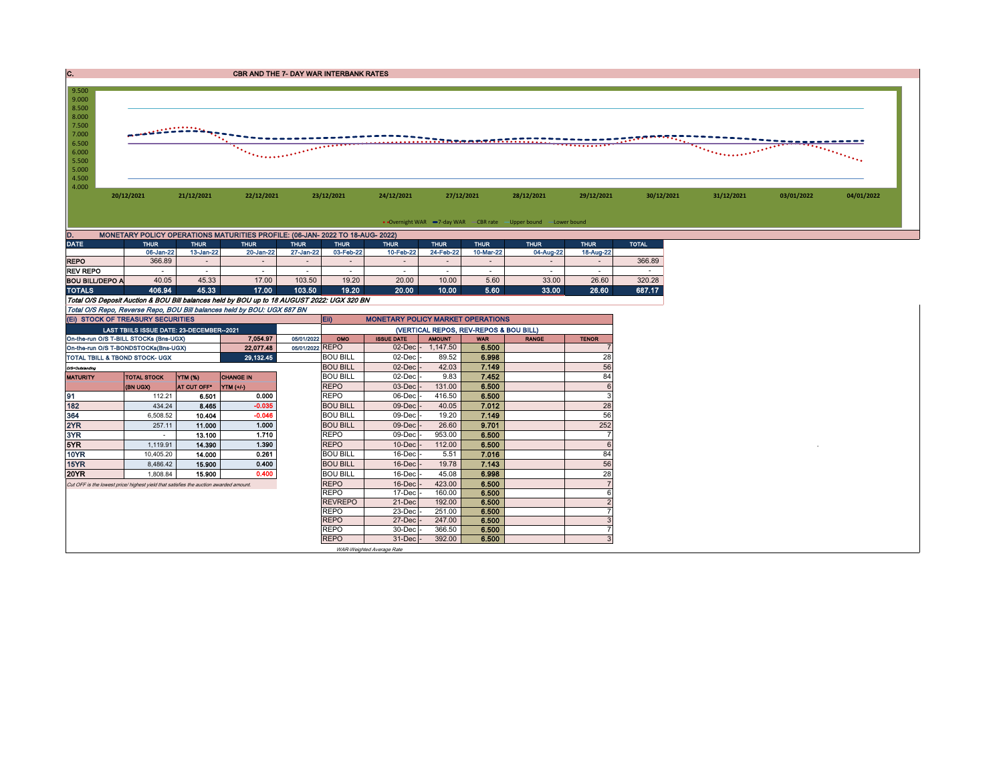| . . | <b>CBR AND THE 7- DAY WAR INTERBANK RATES</b> |
|-----|-----------------------------------------------|
|-----|-----------------------------------------------|



| <b>DATE</b>            | <b>THUR</b>              | <b>THUR</b>  | <b>THUR</b> | <b>THUR</b> | <b>THUR</b> | <b>THUR</b> | <b>THUR</b> | <b>THUR</b>              | <b>THUR</b> | <b>THUR</b> | <b>TOTAL</b> |
|------------------------|--------------------------|--------------|-------------|-------------|-------------|-------------|-------------|--------------------------|-------------|-------------|--------------|
|                        | 06-Jan-22                | $13$ -Jan-22 | 20-Jan-22   | 27-Jan-22   | 03-Feb-22   | 10-Feb-22   | 24-Feb-22   | 10-Mar-22                | 04-Aug-22   | 18-Aug-22   |              |
| <b>REPO</b>            | 366.89                   |              |             |             |             |             |             | $\overline{\phantom{a}}$ |             |             | 366.89       |
| <b>REV REPO</b>        | $\overline{\phantom{a}}$ |              |             |             |             |             |             | -                        |             |             |              |
| <b>BOU BILL/DEPO A</b> | 40.05                    | 45.33        | 17.00       | 103.50      | 19.20       | 20.00       | 10.00       | 5.60                     | 33.00       | 26.60       | 320.28       |
| <b>TOTALS</b>          | 406.94                   | 45.33        | 17.00       | 103.50      | 19.20       | 20.00       | 10.00       | 5.60                     | 33.00       | 26.60       | 687.17       |

Total O/S Deposit Auction & BOU Bill balances held by BOU up to 18 AUGUST 2022: UGX 320 BN

Total O/S Repo, Reverse Repo, BOU Bill balances held by BOU: UGX 687 BN

| (EI) STOCK OF TREASURY SECURITIES                                                     |                                           |                |                  |                 | <b>Ein</b>      | <b>MONETARY POLICY MARKET OPERATIONS</b> |               |            |              |                |  |  |  |  |
|---------------------------------------------------------------------------------------|-------------------------------------------|----------------|------------------|-----------------|-----------------|------------------------------------------|---------------|------------|--------------|----------------|--|--|--|--|
|                                                                                       | LAST TBIILS ISSUE DATE: 23-DECEMBER--2021 |                |                  |                 |                 | (VERTICAL REPOS, REV-REPOS & BOU BILL)   |               |            |              |                |  |  |  |  |
| On-the-run O/S T-BILL STOCKs (Bns-UGX)                                                |                                           |                | 7.054.97         | 05/01/2022      | OMO             | <b>ISSUE DATE</b>                        | <b>AMOUNT</b> | <b>WAR</b> | <b>RANGE</b> | <b>TENOR</b>   |  |  |  |  |
| On-the-run O/S T-BONDSTOCKs(Bns-UGX)                                                  |                                           |                | 22,077.48        | 05/01/2022 REPO |                 | $02$ -Dec $-$                            | 1.147.50      | 6.500      |              |                |  |  |  |  |
| TOTAL TBILL & TBOND STOCK- UGX                                                        |                                           |                | 29,132.45        |                 | <b>BOU BILL</b> | $02$ -Dec $-$                            | 89.52         | 6.998      |              | 28             |  |  |  |  |
| O/S=Outstanding                                                                       |                                           |                |                  |                 | <b>BOU BILL</b> | $02$ -Dec $-$                            | 42.03         | 7.149      |              | 56             |  |  |  |  |
| <b>MATURITY</b>                                                                       | <b>TOTAL STOCK</b>                        | <b>YTM (%)</b> | <b>CHANGE IN</b> |                 | <b>BOU BILL</b> | $02$ -Dec $-$                            | 9.83          | 7.452      |              | 84             |  |  |  |  |
|                                                                                       | (BN UGX)                                  | AT CUT OFF*    | YTM (+/-)        |                 | <b>REPO</b>     | $03$ -Dec $\cdot$                        | 131.00        | 6.500      |              | 6              |  |  |  |  |
| 91                                                                                    | 112.21                                    | 6.501          | 0.000            |                 | <b>REPO</b>     | 06-Dec                                   | 416.50        | 6.500      |              | 3              |  |  |  |  |
| 182                                                                                   | 434.24                                    | 8.465          | $-0.035$         |                 | <b>BOU BILL</b> | $09$ -Dec                                | 40.05         | 7.012      |              | 28             |  |  |  |  |
| 364                                                                                   | 6,508.52                                  | 10.404         | $-0.046$         |                 | <b>BOU BILL</b> | 09-Dec                                   | 19.20         | 7.149      |              | 56             |  |  |  |  |
| 2YR                                                                                   | 257.11                                    | 11.000         | 1.000            |                 | <b>BOU BILL</b> | $09$ -Dec $\cdot$                        | 26.60         | 9.701      |              | 252            |  |  |  |  |
| 3YR                                                                                   |                                           | 13.100         | 1.710            |                 | <b>REPO</b>     | $09$ -Dec $-$                            | 953.00        | 6.500      |              |                |  |  |  |  |
| 5YR                                                                                   | 1.119.91                                  | 14.390         | 1.390            |                 | <b>REPO</b>     | $10$ -Dec $\sim$                         | 112.00        | 6.500      |              | 6              |  |  |  |  |
| 10YR                                                                                  | 10.405.20                                 | 14.000         | 0.261            |                 | <b>BOU BILL</b> | $16$ -Dec                                | 5.51          | 7.016      |              | 84             |  |  |  |  |
| 15YR                                                                                  | 8,486.42                                  | 15.900         | 0.400            |                 | <b>BOU BILL</b> | $16$ -Dec $\cdot$                        | 19.78         | 7.143      |              | 56             |  |  |  |  |
| <b>20YR</b>                                                                           | 1.808.84                                  | 15,900         | 0.400            |                 | <b>BOU BILL</b> | $16$ -Dec                                | 45.08         | 6.998      |              | 28             |  |  |  |  |
| Cut OFF is the lowest price/ highest yield that satisfies the auction awarded amount. |                                           |                |                  |                 | <b>REPO</b>     | $16$ -Dec $\cdot$                        | 423.00        | 6.500      |              |                |  |  |  |  |
|                                                                                       |                                           |                |                  |                 | <b>REPO</b>     | $17$ -Dec                                | 160.00        | 6.500      |              | 6              |  |  |  |  |
|                                                                                       |                                           |                |                  |                 | <b>REVREPO</b>  | 21-Dec                                   | 192.00        | 6.500      |              | $\overline{2}$ |  |  |  |  |
|                                                                                       |                                           |                |                  |                 | <b>REPO</b>     | $23$ -Dec $-$                            | 251.00        | 6.500      |              | 7              |  |  |  |  |
|                                                                                       |                                           |                |                  |                 | <b>REPO</b>     | 27-Dec -                                 | 247.00        | 6.500      |              | 3              |  |  |  |  |
|                                                                                       |                                           |                |                  |                 | <b>REPO</b>     | 30-Dec -                                 | 366.50        | 6.500      |              | -              |  |  |  |  |
|                                                                                       |                                           |                |                  |                 | <b>REPO</b>     | $31$ -Dec $-$                            | 392.00        | 6.500      |              | 3              |  |  |  |  |
|                                                                                       |                                           |                |                  |                 |                 | WAR-Weighted Average Rate                |               |            |              |                |  |  |  |  |